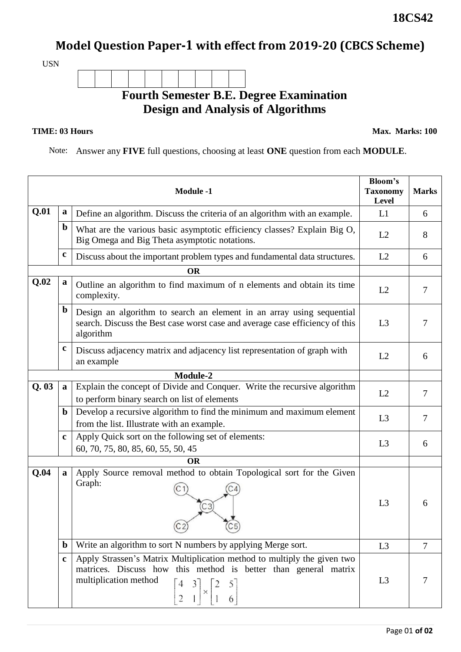## **Model Question Paper-1 with effect from 2019-20 (CBCS Scheme)**

USN

**Fourth Semester B.E. Degree Examination Design and Analysis of Algorithms**

## **TIME: 03 Hours**

**Max. Marks: 100**

**18CS42**

Note: Answer any **FIVE** full questions, choosing at least **ONE** question from each **MODULE**.

|           |             | <b>Module -1</b>                                                                                                                                                                                                                                                          | <b>Bloom's</b><br><b>Taxonomy</b><br>Level | <b>Marks</b>   |  |
|-----------|-------------|---------------------------------------------------------------------------------------------------------------------------------------------------------------------------------------------------------------------------------------------------------------------------|--------------------------------------------|----------------|--|
| Q.01      | a           | Define an algorithm. Discuss the criteria of an algorithm with an example.                                                                                                                                                                                                | L1                                         | 6              |  |
|           | $\mathbf b$ | What are the various basic asymptotic efficiency classes? Explain Big O,<br>Big Omega and Big Theta asymptotic notations.                                                                                                                                                 | L2                                         | 8              |  |
|           | $\mathbf c$ | Discuss about the important problem types and fundamental data structures.                                                                                                                                                                                                | L2                                         | 6              |  |
| <b>OR</b> |             |                                                                                                                                                                                                                                                                           |                                            |                |  |
| Q.02      | a           | Outline an algorithm to find maximum of n elements and obtain its time<br>complexity.                                                                                                                                                                                     | L2                                         | $\tau$         |  |
|           | $\mathbf b$ | Design an algorithm to search an element in an array using sequential<br>search. Discuss the Best case worst case and average case efficiency of this<br>algorithm                                                                                                        | L <sub>3</sub>                             | 7              |  |
|           | c           | Discuss adjacency matrix and adjacency list representation of graph with<br>an example                                                                                                                                                                                    | L2                                         | 6              |  |
| Module-2  |             |                                                                                                                                                                                                                                                                           |                                            |                |  |
| Q.03      | a           | Explain the concept of Divide and Conquer. Write the recursive algorithm<br>to perform binary search on list of elements                                                                                                                                                  | L2                                         | 7              |  |
|           | $\mathbf b$ | Develop a recursive algorithm to find the minimum and maximum element<br>from the list. Illustrate with an example.                                                                                                                                                       | L3                                         | $\overline{7}$ |  |
|           | $\mathbf c$ | Apply Quick sort on the following set of elements:<br>60, 70, 75, 80, 85, 60, 55, 50, 45                                                                                                                                                                                  | L <sub>3</sub>                             | 6              |  |
| <b>OR</b> |             |                                                                                                                                                                                                                                                                           |                                            |                |  |
| Q.04      | a           | Apply Source removal method to obtain Topological sort for the Given<br>Graph:<br>$\overline{C}3$<br>(Cp)                                                                                                                                                                 | L3                                         | 6              |  |
|           | $\mathbf b$ | Write an algorithm to sort N numbers by applying Merge sort.                                                                                                                                                                                                              | L3                                         | 7              |  |
|           | $\mathbf c$ | Apply Strassen's Matrix Multiplication method to multiply the given two<br>matrices. Discuss how this method is better than general matrix<br>multiplication method<br>$\begin{bmatrix} 4 & 3 \\ 2 & 1 \end{bmatrix} \times \begin{bmatrix} 2 & 5 \\ 1 & 6 \end{bmatrix}$ | L <sub>3</sub>                             | 7              |  |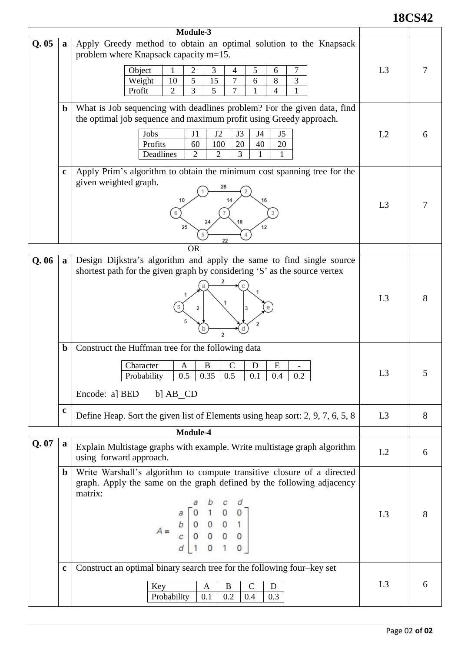## **18CS42**

|      |              | Module-3                                                                                                                                                                                                                                                                                   |                |   |
|------|--------------|--------------------------------------------------------------------------------------------------------------------------------------------------------------------------------------------------------------------------------------------------------------------------------------------|----------------|---|
| Q.05 | $\mathbf{a}$ | Apply Greedy method to obtain an optimal solution to the Knapsack<br>problem where Knapsack capacity m=15.<br>5<br>2<br>7<br>Object<br>3<br>6<br>1<br>4<br>5<br>10<br>15<br>7<br>8<br>3<br>Weight<br>6<br>3<br>$\overline{7}$<br>$\overline{2}$<br>5<br>$\overline{4}$<br>Profit<br>1<br>1 | L3             |   |
|      | $\mathbf b$  | What is Job sequencing with deadlines problem? For the given data, find<br>the optimal job sequence and maximum profit using Greedy approach.<br>Jobs<br>J1<br>J2<br>J3<br>J4<br>J5<br>100<br>20<br>Profits<br>60<br>40<br>20<br>Deadlines<br>3<br>2<br>$\overline{2}$<br>1                | L2             | 6 |
|      | $\mathbf c$  | Apply Prim's algorithm to obtain the minimum cost spanning tree for the<br>given weighted graph.<br>28<br>10<br>25<br>12<br>22                                                                                                                                                             | L <sub>3</sub> |   |
|      |              | <b>OR</b>                                                                                                                                                                                                                                                                                  |                |   |
| Q.06 | $\mathbf{a}$ | Design Dijkstra's algorithm and apply the same to find single source<br>shortest path for the given graph by considering 'S' as the source vertex<br>$\overline{a}$                                                                                                                        | L <sub>3</sub> | 8 |
|      | $\mathbf b$  | Construct the Huffman tree for the following data<br>$\mathbf C$<br>E<br>B<br>D<br>Character<br>A<br>$0.5$ 0.35 0.5<br>0.1<br>0.4<br>Probability<br>$0.2\,$<br>Encode: a] BED<br>b] $AB$ <sup>O</sup>                                                                                      | L <sub>3</sub> |   |
|      | $\mathbf c$  | Define Heap. Sort the given list of Elements using heap sort: 2, 9, 7, 6, 5, 8                                                                                                                                                                                                             | L <sub>3</sub> | 8 |
|      |              | Module-4                                                                                                                                                                                                                                                                                   |                |   |
| Q.07 | a            | Explain Multistage graphs with example. Write multistage graph algorithm<br>using forward approach.                                                                                                                                                                                        | L2             | 6 |
|      | $\mathbf b$  | Write Warshall's algorithm to compute transitive closure of a directed<br>graph. Apply the same on the graph defined by the following adjacency<br>matrix:<br>$A = \begin{bmatrix} a & 0 & 1 & 0 & 0 \\ b & 0 & 0 & 0 & 1 \\ c & 0 & 0 & 0 & 0 \\ d & 1 & 0 & 1 & 0 \end{bmatrix}$         | L3             | 8 |
|      | $\mathbf c$  | Construct an optimal binary search tree for the following four-key set<br>Key<br>B<br>$\mathsf{C}$<br>D<br>A<br>Probability<br>0.2<br>0.4<br>0.3<br>0.1                                                                                                                                    | L <sub>3</sub> | 6 |